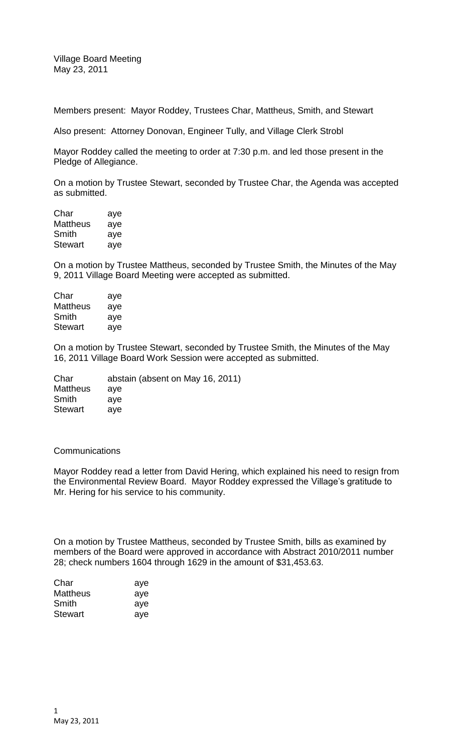Village Board Meeting May 23, 2011

Members present: Mayor Roddey, Trustees Char, Mattheus, Smith, and Stewart

Also present: Attorney Donovan, Engineer Tully, and Village Clerk Strobl

Mayor Roddey called the meeting to order at 7:30 p.m. and led those present in the Pledge of Allegiance.

On a motion by Trustee Stewart, seconded by Trustee Char, the Agenda was accepted as submitted.

| Char            | aye |
|-----------------|-----|
| <b>Mattheus</b> | aye |
| Smith           | aye |
| Stewart         | aye |

On a motion by Trustee Mattheus, seconded by Trustee Smith, the Minutes of the May 9, 2011 Village Board Meeting were accepted as submitted.

| aye |
|-----|
| aye |
| aye |
| aye |
|     |

On a motion by Trustee Stewart, seconded by Trustee Smith, the Minutes of the May 16, 2011 Village Board Work Session were accepted as submitted.

Char abstain (absent on May 16, 2011) Mattheus aye Smith aye Stewart aye

#### **Communications**

Mayor Roddey read a letter from David Hering, which explained his need to resign from the Environmental Review Board. Mayor Roddey expressed the Village's gratitude to Mr. Hering for his service to his community.

On a motion by Trustee Mattheus, seconded by Trustee Smith, bills as examined by members of the Board were approved in accordance with Abstract 2010/2011 number 28; check numbers 1604 through 1629 in the amount of \$31,453.63.

| aye |
|-----|
| aye |
| aye |
| ave |
|     |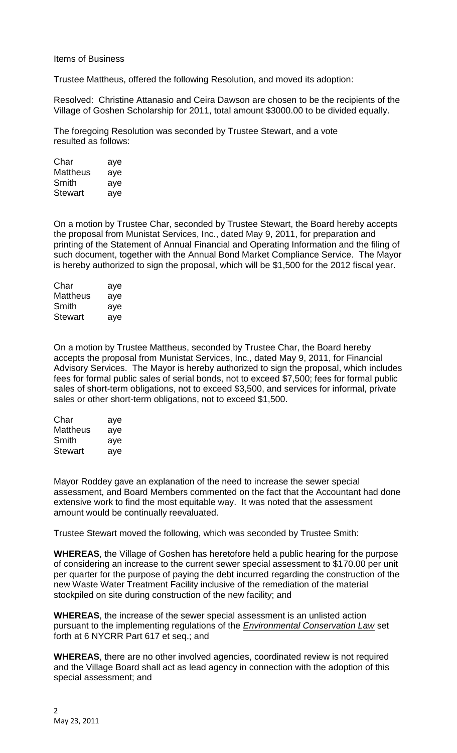### Items of Business

Trustee Mattheus, offered the following Resolution, and moved its adoption:

Resolved: Christine Attanasio and Ceira Dawson are chosen to be the recipients of the Village of Goshen Scholarship for 2011, total amount \$3000.00 to be divided equally.

The foregoing Resolution was seconded by Trustee Stewart, and a vote resulted as follows:

| Char           | aye |
|----------------|-----|
| Mattheus       | aye |
| Smith          | aye |
| <b>Stewart</b> | aye |

On a motion by Trustee Char, seconded by Trustee Stewart, the Board hereby accepts the proposal from Munistat Services, Inc., dated May 9, 2011, for preparation and printing of the Statement of Annual Financial and Operating Information and the filing of such document, together with the Annual Bond Market Compliance Service. The Mayor is hereby authorized to sign the proposal, which will be \$1,500 for the 2012 fiscal year.

| Char            | aye |
|-----------------|-----|
| <b>Mattheus</b> | aye |
| Smith           | aye |
| <b>Stewart</b>  | aye |

On a motion by Trustee Mattheus, seconded by Trustee Char, the Board hereby accepts the proposal from Munistat Services, Inc., dated May 9, 2011, for Financial Advisory Services. The Mayor is hereby authorized to sign the proposal, which includes fees for formal public sales of serial bonds, not to exceed \$7,500; fees for formal public sales of short-term obligations, not to exceed \$3,500, and services for informal, private sales or other short-term obligations, not to exceed \$1,500.

| Char           | aye |
|----------------|-----|
| Mattheus       | aye |
| Smith          | aye |
| <b>Stewart</b> | aye |

Mayor Roddey gave an explanation of the need to increase the sewer special assessment, and Board Members commented on the fact that the Accountant had done extensive work to find the most equitable way. It was noted that the assessment amount would be continually reevaluated.

Trustee Stewart moved the following, which was seconded by Trustee Smith:

**WHEREAS**, the Village of Goshen has heretofore held a public hearing for the purpose of considering an increase to the current sewer special assessment to \$170.00 per unit per quarter for the purpose of paying the debt incurred regarding the construction of the new Waste Water Treatment Facility inclusive of the remediation of the material stockpiled on site during construction of the new facility; and

**WHEREAS**, the increase of the sewer special assessment is an unlisted action pursuant to the implementing regulations of the *Environmental Conservation Law* set forth at 6 NYCRR Part 617 et seq.; and

**WHEREAS**, there are no other involved agencies, coordinated review is not required and the Village Board shall act as lead agency in connection with the adoption of this special assessment; and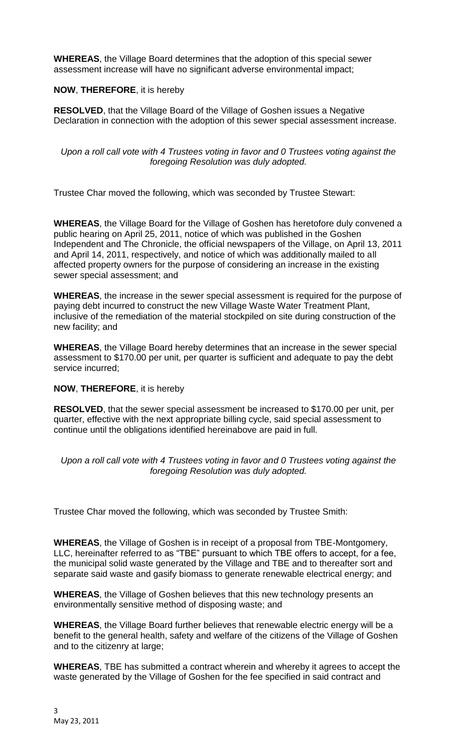**WHEREAS**, the Village Board determines that the adoption of this special sewer assessment increase will have no significant adverse environmental impact;

# **NOW**, **THEREFORE**, it is hereby

**RESOLVED**, that the Village Board of the Village of Goshen issues a Negative Declaration in connection with the adoption of this sewer special assessment increase.

*Upon a roll call vote with 4 Trustees voting in favor and 0 Trustees voting against the foregoing Resolution was duly adopted.*

Trustee Char moved the following, which was seconded by Trustee Stewart:

**WHEREAS**, the Village Board for the Village of Goshen has heretofore duly convened a public hearing on April 25, 2011, notice of which was published in the Goshen Independent and The Chronicle, the official newspapers of the Village, on April 13, 2011 and April 14, 2011, respectively, and notice of which was additionally mailed to all affected property owners for the purpose of considering an increase in the existing sewer special assessment; and

**WHEREAS**, the increase in the sewer special assessment is required for the purpose of paying debt incurred to construct the new Village Waste Water Treatment Plant, inclusive of the remediation of the material stockpiled on site during construction of the new facility; and

**WHEREAS**, the Village Board hereby determines that an increase in the sewer special assessment to \$170.00 per unit, per quarter is sufficient and adequate to pay the debt service incurred;

**NOW**, **THEREFORE**, it is hereby

**RESOLVED**, that the sewer special assessment be increased to \$170.00 per unit, per quarter, effective with the next appropriate billing cycle, said special assessment to continue until the obligations identified hereinabove are paid in full.

*Upon a roll call vote with 4 Trustees voting in favor and 0 Trustees voting against the foregoing Resolution was duly adopted.*

Trustee Char moved the following, which was seconded by Trustee Smith:

**WHEREAS**, the Village of Goshen is in receipt of a proposal from TBE-Montgomery, LLC, hereinafter referred to as "TBE" pursuant to which TBE offers to accept, for a fee, the municipal solid waste generated by the Village and TBE and to thereafter sort and separate said waste and gasify biomass to generate renewable electrical energy; and

**WHEREAS**, the Village of Goshen believes that this new technology presents an environmentally sensitive method of disposing waste; and

**WHEREAS**, the Village Board further believes that renewable electric energy will be a benefit to the general health, safety and welfare of the citizens of the Village of Goshen and to the citizenry at large;

**WHEREAS**, TBE has submitted a contract wherein and whereby it agrees to accept the waste generated by the Village of Goshen for the fee specified in said contract and